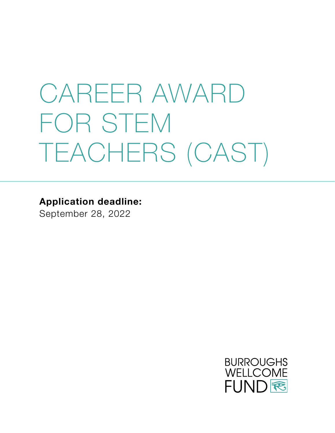# CAREER AWARD FOR STEM TEACHERS (CAST)

**Application deadline:**

September 28, 2022

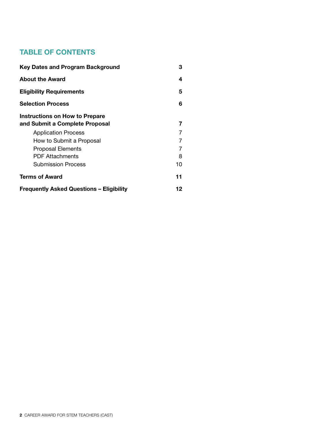#### **TABLE OF CONTENTS**

| <b>Key Dates and Program Background</b>         | з  |
|-------------------------------------------------|----|
| <b>About the Award</b>                          | 4  |
| <b>Eligibility Requirements</b>                 | 5  |
| <b>Selection Process</b>                        | 6  |
| Instructions on How to Prepare                  |    |
| and Submit a Complete Proposal                  | 7  |
| <b>Application Process</b>                      | 7  |
| How to Submit a Proposal                        | 7  |
| <b>Proposal Elements</b>                        | 7  |
| <b>PDF Attachments</b>                          | 8  |
| <b>Submission Process</b>                       | 10 |
| <b>Terms of Award</b>                           | 11 |
| <b>Frequently Asked Questions – Eligibility</b> | 12 |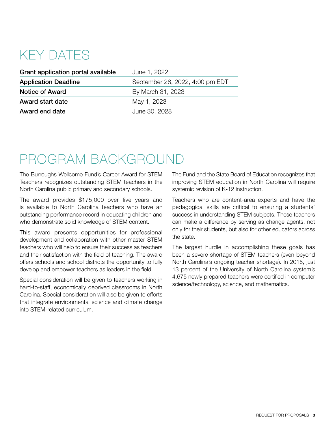### KEY DATES

| Grant application portal available | June 1, 2022                    |
|------------------------------------|---------------------------------|
| <b>Application Deadline</b>        | September 28, 2022, 4:00 pm EDT |
| Notice of Award                    | By March 31, 2023               |
| Award start date                   | May 1, 2023                     |
| Award end date                     | June 30, 2028                   |

### PROGRAM BACKGROUND

The Burroughs Wellcome Fund's Career Award for STEM Teachers recognizes outstanding STEM teachers in the North Carolina public primary and secondary schools.

The award provides \$175,000 over five years and is available to North Carolina teachers who have an outstanding performance record in educating children and who demonstrate solid knowledge of STEM content.

This award presents opportunities for professional development and collaboration with other master STEM teachers who will help to ensure their success as teachers and their satisfaction with the field of teaching. The award offers schools and school districts the opportunity to fully develop and empower teachers as leaders in the field.

Special consideration will be given to teachers working in hard-to-staff, economically deprived classrooms in North Carolina. Special consideration will also be given to efforts that integrate environmental science and climate change into STEM-related curriculum.

The Fund and the State Board of Education recognizes that improving STEM education in North Carolina will require systemic revision of K-12 instruction.

Teachers who are content-area experts and have the pedagogical skills are critical to ensuring a students' success in understanding STEM subjects. These teachers can make a difference by serving as change agents, not only for their students, but also for other educators across the state.

The largest hurdle in accomplishing these goals has been a severe shortage of STEM teachers (even beyond North Carolina's ongoing teacher shortage). In 2015, just 13 percent of the University of North Carolina system's 4,675 newly prepared teachers were certified in computer science/technology, science, and mathematics.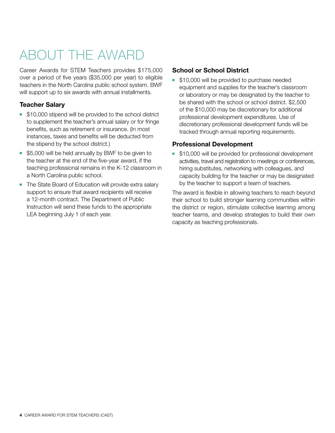## ABOUT THE AWARD

Career Awards for STEM Teachers provides \$175,000 over a period of five years (\$35,000 per year) to eligible teachers in the North Carolina public school system. BWF will support up to six awards with annual installments.

#### **Teacher Salary**

- **510,000 stipend will be provided to the school district** to supplement the teacher's annual salary or for fringe benefits, such as retirement or insurance. (In most instances, taxes and benefits will be deducted from the stipend by the school district.)
- **55,000 will be held annually by BWF to be given to** the teacher at the end of the five-year award, if the teaching professional remains in the K-12 classroom in a North Carolina public school.
- The State Board of Education will provide extra salary support to ensure that award recipients will receive a 12-month contract. The Department of Public Instruction will send these funds to the appropriate LEA beginning July 1 of each year.

#### **School or School District**

**510,000 will be provided to purchase needed** equipment and supplies for the teacher's classroom or laboratory or may be designated by the teacher to be shared with the school or school district. \$2,500 of the \$10,000 may be discretionary for additional professional development expenditures. Use of discretionary professional development funds will be tracked through annual reporting requirements.

#### **Professional Development**

**510,000 will be provided for professional development** activities, travel and registration to meetings or conferences, hiring substitutes, networking with colleagues, and capacity building for the teacher or may be designated by the teacher to support a team of teachers.

The award is flexible in allowing teachers to reach beyond their school to build stronger learning communities within the district or region, stimulate collective learning among teacher teams, and develop strategies to build their own capacity as teaching professionals.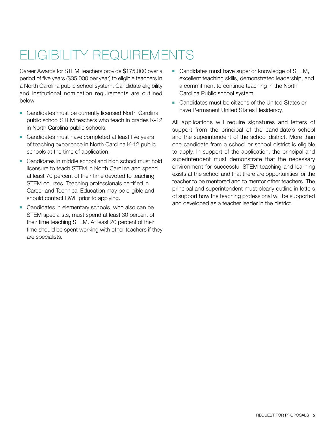## ELIGIBILITY REQUIREMENTS

Career Awards for STEM Teachers provide \$175,000 over a period of five years (\$35,000 per year) to eligible teachers in a North Carolina public school system. Candidate eligibility and institutional nomination requirements are outlined below.

- Candidates must be currently licensed North Carolina public school STEM teachers who teach in grades K-12 in North Carolina public schools.
- Candidates must have completed at least five years of teaching experience in North Carolina K-12 public schools at the time of application.
- Candidates in middle school and high school must hold licensure to teach STEM in North Carolina and spend at least 70 percent of their time devoted to teaching STEM courses. Teaching professionals certified in Career and Technical Education may be eligible and should contact BWF prior to applying.
- Candidates in elementary schools, who also can be STEM specialists, must spend at least 30 percent of their time teaching STEM. At least 20 percent of their time should be spent working with other teachers if they are specialists.
- Candidates must have superior knowledge of STEM, excellent teaching skills, demonstrated leadership, and a commitment to continue teaching in the North Carolina Public school system.
- Candidates must be citizens of the United States or have Permanent United States Residency.

All applications will require signatures and letters of support from the principal of the candidate's school and the superintendent of the school district. More than one candidate from a school or school district is eligible to apply. In support of the application, the principal and superintendent must demonstrate that the necessary environment for successful STEM teaching and learning exists at the school and that there are opportunities for the teacher to be mentored and to mentor other teachers. The principal and superintendent must clearly outline in letters of support how the teaching professional will be supported and developed as a teacher leader in the district.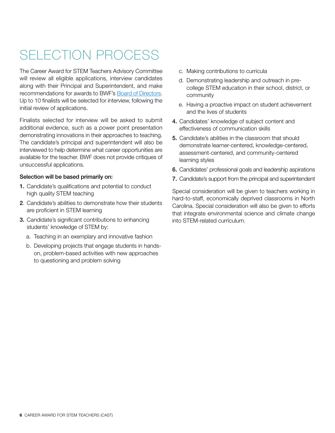## SELECTION PROCESS

The Career Award for STEM Teachers Advisory Committee will review all eligible applications, interview candidates along with their Principal and Superintendent, and make recommendations for awards to BWF's [Board of Directors](http://www.bwfund.org/board-directors). Up to 10 finalists will be selected for interview, following the initial review of applications.

Finalists selected for interview will be asked to submit additional evidence, such as a power point presentation demonstrating innovations in their approaches to teaching. The candidate's principal and superintendent will also be interviewed to help determine what career opportunities are available for the teacher. BWF does not provide critiques of unsuccessful applications.

#### Selection will be based primarily on:

- 1. Candidate's qualifications and potential to conduct high quality STEM teaching
- 2. Candidate's abilities to demonstrate how their students are proficient in STEM learning
- 3. Candidate's significant contributions to enhancing students' knowledge of STEM by:
	- a. Teaching in an exemplary and innovative fashion
	- b. Developing projects that engage students in handson, problem-based activities with new approaches to questioning and problem solving
- c. Making contributions to curricula
- d. Demonstrating leadership and outreach in precollege STEM education in their school, district, or community
- e. Having a proactive impact on student achievement and the lives of students
- 4. Candidates' knowledge of subject content and effectiveness of communication skills
- 5. Candidate's abilities in the classroom that should demonstrate learner-centered, knowledge-centered, assessment-centered, and community-centered learning styles
- 6. Candidates' professional goals and leadership aspirations
- 7. Candidate's support from the principal and superintendent

Special consideration will be given to teachers working in hard-to-staff, economically deprived classrooms in North Carolina. Special consideration will also be given to efforts that integrate environmental science and climate change into STEM-related curriculum.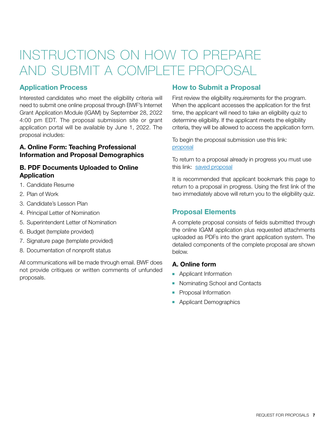### INSTRUCTIONS ON HOW TO PREPARE AND SUBMIT A COMPLETE PROPOSAL

#### **Application Process**

Interested candidates who meet the eligibility criteria will need to submit one online proposal through BWF's Internet Grant Application Module (IGAM) by September 28, 2022 4:00 pm EDT. The proposal submission site or grant application portal will be available by June 1, 2022. The proposal includes:

#### **A. Online Form: Teaching Professional Information and Proposal Demographics**

#### **B. PDF Documents Uploaded to Online Application**

- 1. Candidate Resume
- 2. Plan of Work
- 3. Candidate's Lesson Plan
- 4. Principal Letter of Nomination
- 5. Superintendent Letter of Nomination
- 6. Budget (template provided)
- 7. Signature page (template provided)
- 8. Documentation of nonprofit status

All communications will be made through email. BWF does not provide critiques or written comments of unfunded proposals.

#### **How to Submit a Proposal**

First review the eligibility requirements for the program. When the applicant accesses the application for the first time, the applicant will need to take an eligibility quiz to determine eligibility. If the applicant meets the eligibility criteria, they will be allowed to access the application form.

To begin the proposal submission use this link: [proposal](https://www.GrantRequest.com/SID_227?SA=SNA&FID=35032)

To return to a proposal already in progress you must use this link: [saved proposal](https://www.grantrequest.com/SID_227/?SA=AM)

It is recommended that applicant bookmark this page to return to a proposal in progress. Using the first link of the two immediately above will return you to the eligibility quiz.

#### **Proposal Elements**

A complete proposal consists of fields submitted through the online IGAM application plus requested attachments uploaded as PDFs into the grant application system. The detailed components of the complete proposal are shown below.

#### **A. Online form**

- **Applicant Information**
- Nominating School and Contacts
- **•** Proposal Information
- **Applicant Demographics**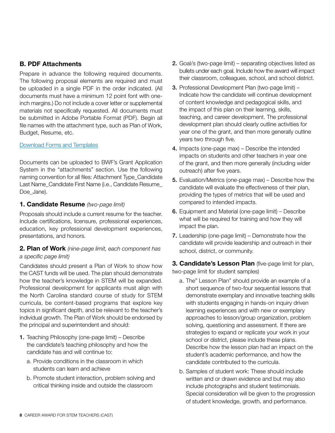#### **B. PDF Attachments**

Prepare in advance the following required documents. The following proposal elements are required and must be uploaded in a single PDF in the order indicated. (All documents must have a minimum 12 point font with oneinch margins.) Do not include a cover letter or supplemental materials not specifically requested. All documents must be submitted in Adobe Portable Format (PDF). Begin all file names with the attachment type, such as Plan of Work, Budget, Resume, etc.

#### [Download Forms and Templates](https://www.bwfund.org/funding-opportunities/science-education/career-awards-for-science-and-mathematics-teachers/forms-and-resources/)

Documents can be uploaded to BWF's Grant Application System in the "attachments" section. Use the following naming convention for all files: Attachment Type\_Candidate Last Name\_Candidate First Name (i.e., Candidate Resume\_ Doe\_Jane).

#### **1. Candidate Resume** *(two-page limit)*

Proposals should include a current resume for the teacher. Include certifications, licensure, professional experiences, education, key professional development experiences, presentations, and honors.

#### **2. Plan of Work** *(nine-page limit, each component has a specific page limit)*

Candidates should present a Plan of Work to show how the CAST funds will be used. The plan should demonstrate how the teacher's knowledge in STEM will be expanded. Professional development for applicants must align with the North Carolina standard course of study for STEM curricula, be content-based programs that explore key topics in significant depth, and be relevant to the teacher's individual growth. The Plan of Work should be endorsed by the principal and superintendent and should:

- 1. Teaching Philosophy (one-page limit) Describe the candidate's teaching philosophy and how the candidate has and will continue to:
	- a. Provide conditions in the classroom in which students can learn and achieve
	- b. Promote student interaction, problem solving and critical thinking inside and outside the classroom
- 2. Goal/s (two-page limit) separating objectives listed as bullets under each goal. Include how the award will impact their classroom, colleagues, school, and school district.
- 3. Professional Development Plan (two-page limit) Indicate how the candidate will continue development of content knowledge and pedagogical skills, and the impact of this plan on their learning, skills, teaching, and career development. The professional development plan should clearly outline activities for year one of the grant, and then more generally outline years two through five.
- 4. Impacts (one-page max) Describe the intended impacts on students and other teachers in year one of the grant, and then more generally (including wider outreach) after five years.
- 5. Evaluation/Metrics (one-page max) Describe how the candidate will evaluate the effectiveness of their plan, providing the types of metrics that will be used and compared to intended impacts.
- 6. Equipment and Material (one-page limit) Describe what will be required for training and how they will impact the plan.
- 7. Leadership (one-page limit) Demonstrate how the candidate will provide leadership and outreach in their school, district, or community.

**3. Candidate's Lesson Plan** (five-page limit for plan, two-page limit for student samples)

- a. The" Lesson Plan" should provide an example of a short sequence of two-four sequential lessons that demonstrate exemplary and innovative teaching skills with students engaging in hands-on inquiry driven learning experiences and with new or exemplary approaches to lesson/group organization, problem solving, questioning and assessment. If there are strategies to expand or replicate your work in your school or district, please include these plans. Describe how the lesson plan had an impact on the student's academic performance, and how the candidate contributed to the curricula.
- b. Samples of student work: These should include written and or drawn evidence and but may also include photographs and student testimonials. Special consideration will be given to the progression of student knowledge, growth, and performance.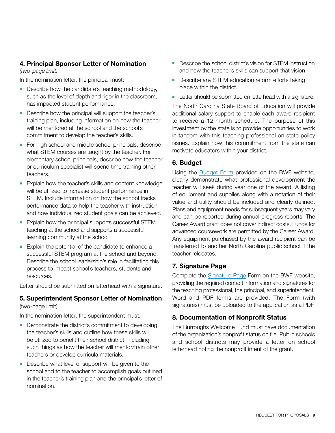#### **4. Principal Sponsor Letter of Nomination**

*(two-page limit)* 

In the nomination letter, the principal must:

- Describe how the candidate's teaching methodology, such as the level of depth and rigor in the classroom, has impacted student performance.
- Describe how the principal will support the teacher's training plan, including information on how the teacher will be mentored at the school and the school's commitment to develop the teacher's skills.
- For high school and middle school principals, describe what STEM courses are taught by the teacher. For elementary school principals, describe how the teacher or curriculum specialist will spend time training other teachers.
- **Explain how the teacher's skills and content knowledge** will be utilized to increase student performance in STEM. Include information on how the school tracks performance data to help the teacher with instruction and how individualized student goals can be achieved.
- $\blacksquare$  Explain how the principal supports successful STEM teaching at the school and supports a successful learning community at the school
- $\blacksquare$  Explain the potential of the candidate to enhance a successful STEM program at the school and beyond. Describe the school leadership's role in facilitating this process to impact school's teachers, students and resources.

Letter should be submitted on letterhead with a signature.

#### **5. Superintendent Sponsor Letter of Nomination**

#### (two-page limit)

In the nomination letter, the superintendent must:

- Demonstrate the district's commitment to developing the teacher's skills and outline how these skills will be utilized to benefit their school district, including such things as how the teacher will mentor/train other teachers or develop curricula materials.
- $\blacksquare$  Describe what level of support will be given to the school and to the teacher to accomplish goals outlined in the teacher's training plan and the principal's letter of nomination.
- **Describe the school district's vision for STEM instruction** and how the teacher's skills can support that vision.
- **-** Describe any STEM education reform efforts taking place within the district.
- **EXECTE Letter should be submitted on letterhead with a signature.**

The North Carolina State Board of Education will provide additional salary support to enable each award recipient to receive a 12-month schedule. The purpose of this investment by the state is to provide opportunities to work in tandem with this teaching professional on state policy issues. Explain how this commitment from the state can motivate educators within your district.

#### **6. Budget**

Using the [Budget Form](https://www.bwfund.org/funding-opportunities/science-education/career-awards-for-science-and-mathematics-teachers/forms-and-resources/) provided on the BWF website, clearly demonstrate what professional development the teacher will seek during year one of the award. A listing of equipment and supplies along with a notation of their value and utility should be included and clearly defined. Plans and equipment needs for subsequent years may vary and can be reported during annual progress reports. The Career Award grant does not cover indirect costs. Funds for advanced coursework are permitted by the Career Award. Any equipment purchased by the award recipient can be transferred to another North Carolina public school if the teacher relocates.

#### **7. Signature Page**

Complete the [Signature Page](https://www.bwfund.org/wp-content/uploads/2022/05/CAST-Signature-Page.pdf) Form on the BWF website, providing the required contact information and signatures for the teaching professional, the principal, and superintendent. Word and PDF forms are provided. The Form (with signatures) must be uploaded to the application as a PDF.

#### **8. Documentation of Nonprofit Status**

The Burroughs Wellcome Fund must have documentation of the organization's nonprofit status on file. Public schools and school districts may provide a letter on school letterhead noting the nonprofit intent of the grant.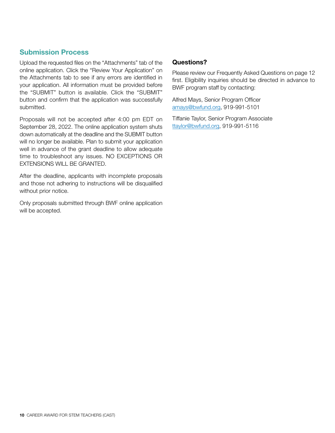#### **Submission Process**

Upload the requested files on the "Attachments" tab of the online application. Click the "Review Your Application" on the Attachments tab to see if any errors are identified in your application. All information must be provided before the "SUBMIT" button is available. Click the "SUBMIT" button and confirm that the application was successfully submitted.

Proposals will not be accepted after 4:00 pm EDT on September 28, 2022. The online application system shuts down automatically at the deadline and the SUBMIT button will no longer be available. Plan to submit your application well in advance of the grant deadline to allow adequate time to troubleshoot any issues. NO EXCEPTIONS OR EXTENSIONS WILL BE GRANTED.

After the deadline, applicants with incomplete proposals and those not adhering to instructions will be disqualified without prior notice.

Only proposals submitted through BWF online application will be accepted.

#### **Questions?**

Please review our Frequently Asked Questions on page 12 first. Eligibility inquiries should be directed in advance to BWF program staff by contacting:

Alfred Mays, Senior Program Officer [amays@bwfund.org](mailto:amays%40bwfund.org?subject=), 919-991-5101

Tiffanie Taylor, Senior Program Associate [ttaylor@bwfund.org,](mailto:ttaylor%40bwfund.org?subject=) 919-991-5116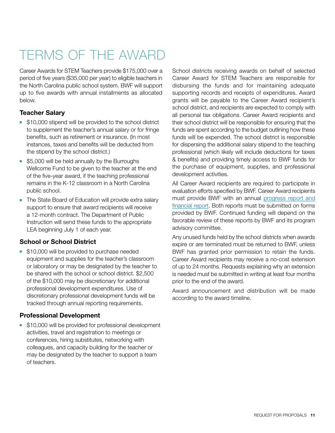# TERMS OF THE AWARD

Career Awards for STEM Teachers provide \$175,000 over a period of five years (\$35,000 per year) to eligible teachers in the North Carolina public school system. BWF will support up to five awards with annual installments as allocated below.

#### **Teacher Salary**

- **510,000 stipend will be provided to the school district** to supplement the teacher's annual salary or for fringe benefits, such as retirement or insurance. (In most instances, taxes and benefits will be deducted from the stipend by the school district.)
- $\overline{\phantom{a}}$  \$5,000 will be held annually by the Burroughs Wellcome Fund to be given to the teacher at the end of the five-year award, if the teaching professional remains in the K-12 classroom in a North Carolina public school.
- The State Board of Education will provide extra salary support to ensure that award recipients will receive a 12-month contract. The Department of Public Instruction will send these funds to the appropriate LEA beginning July 1 of each year.

#### **School or School District**

**510,000 will be provided to purchase needed** equipment and supplies for the teacher's classroom or laboratory or may be designated by the teacher to be shared with the school or school district. \$2,500 of the \$10,000 may be discretionary for additional professional development expenditures. Use of discretionary professional development funds will be tracked through annual reporting requirements.

#### **Professional Development**

**510,000 will be provided for professional development** activities, travel and registration to meetings or conferences, hiring substitutes, networking with colleagues, and capacity building for the teacher or may be designated by the teacher to support a team of teachers.

School districts receiving awards on behalf of selected Career Award for STEM Teachers are responsible for disbursing the funds and for maintaining adequate supporting records and receipts of expenditures. Award grants will be payable to the Career Award recipient's school district, and recipients are expected to comply with all personal tax obligations. Career Award recipients and their school district will be responsible for ensuring that the funds are spent according to the budget outlining how these funds will be expended. The school district is responsible for dispersing the additional salary stipend to the teaching professional (which likely will include deductions for taxes & benefits) and providing timely access to BWF funds for the purchase of equipment, supplies, and professional development activities.

All Career Award recipients are required to participate in evaluation efforts specified by BWF. Career Award recipients must provide BWF with an annual [progress report and](http://www.bwfund.org/grant-programs/science-education/career-awards-science-and-mathematics-teachers/progress-and) [financial report](http://www.bwfund.org/grant-programs/science-education/career-awards-science-and-mathematics-teachers/progress-and). Both reports must be submitted on forms provided by BWF. Continued funding will depend on the favorable review of these reports by BWF and its program advisory committee.

Any unused funds held by the school districts when awards expire or are terminated must be returned to BWF, unless BWF has granted prior permission to retain the funds. Career Award recipients may receive a no-cost extension of up to 24 months. Requests explaining why an extension is needed must be submitted in writing at least four months prior to the end of the award.

Award announcement and distribution will be made according to the award timeline.